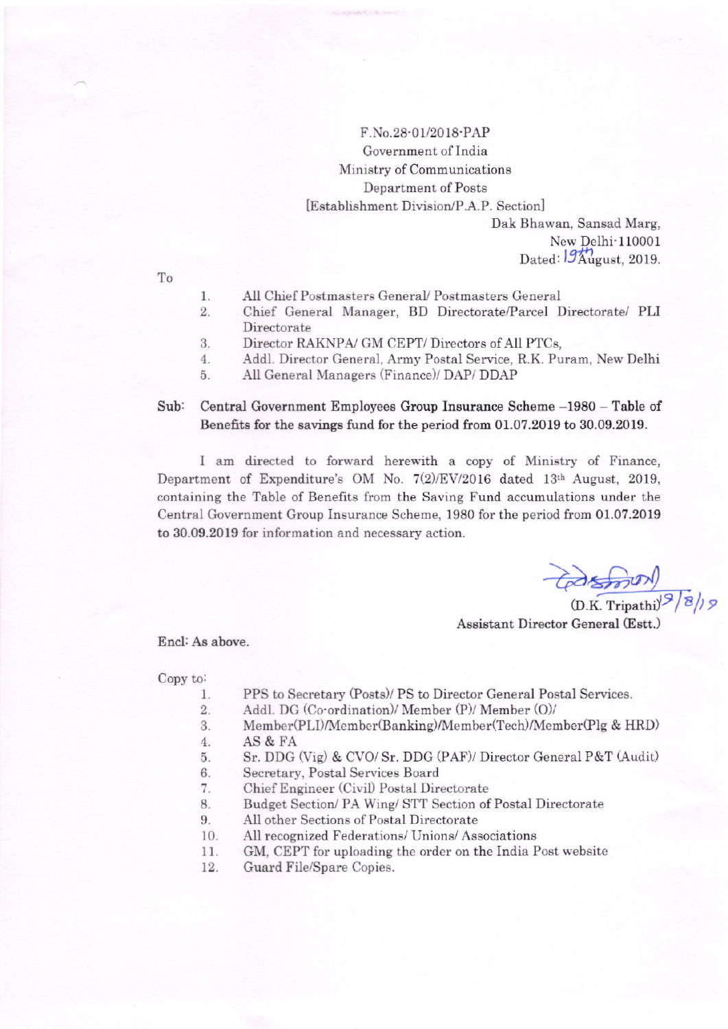## F.No.28-01/2018-PAP Government of India Ministry of Communications Department of Posts [Establishment Division/P.A.P. Section]

Dak Bhawan, Sansad Marg, New Delhi-110001 Dated:  $94$   $\frac{1}{2}$   $\frac{1}{2}$   $\frac{1}{2}$   $\frac{1}{2}$   $\frac{1}{2}$   $\frac{1}{2}$   $\frac{1}{2}$   $\frac{1}{2}$   $\frac{1}{2}$   $\frac{1}{2}$   $\frac{1}{2}$   $\frac{1}{2}$   $\frac{1}{2}$   $\frac{1}{2}$   $\frac{1}{2}$   $\frac{1}{2}$   $\frac{1}{2}$   $\frac{1}{2}$   $\frac{1}{2}$   $\frac{1}{2}$   $\frac{1}{2}$ 

To

- All Chief Postmasters General/ Postmasters General  $1.$
- 2. Chief General Manager, BD Directorate/Parcel Directorate/ PLI Directorate
- 3. Director RAKNPA/ GM CEPT/ Directors of All PTCs,
- Addl. Director General, Army Postal Service, R.K. Puram, New Delhi  $4.$
- All General Managers (Finance)/ DAP/ DDAP 5.

#### $Sub:$ Central Government Employees Group Insurance Scheme -1980 - Table of Benefits for the savings fund for the period from 01.07.2019 to 30.09.2019.

I am directed to forward herewith a copy of Ministry of Finance, Department of Expenditure's OM No.  $7(2)/EV/2016$  dated 13th August, 2019, containing the Table of Benefits from the Saving Fund accumulations under the Central Government Group Insurance Scheme, 1980 for the period from 01.07.2019 to 30.09.2019 for information and necessary action.

 $\frac{1}{\sqrt{2}}\frac{1}{\sqrt{2}}\frac{1}{\sqrt{2}}$ 

Assistant Director General (Estt.)

Encl: As above.

Copy to:

- PPS to Secretary (Posts)/ PS to Director General Postal Services. 1.
- $2.$ Addl. DG (Co-ordination)/ Member (P)/ Member (O)/
- 3. Member(PLI)/Member(Banking)/Member(Tech)/Member(Plg & HRD)
- $4.$ AS & FA
- Sr. DDG (Vig) & CVO/Sr. DDG (PAF)/ Director General P&T (Audit) 5.
- Secretary, Postal Services Board 6.
- 7. Chief Engineer (Civil) Postal Directorate
- Budget Section/ PA Wing/ STT Section of Postal Directorate 8.
- 9. All other Sections of Postal Directorate
- All recognized Federations/ Unions/ Associations 10.
- 11. GM, CEPT for uploading the order on the India Post website
- 12. Guard File/Spare Copies.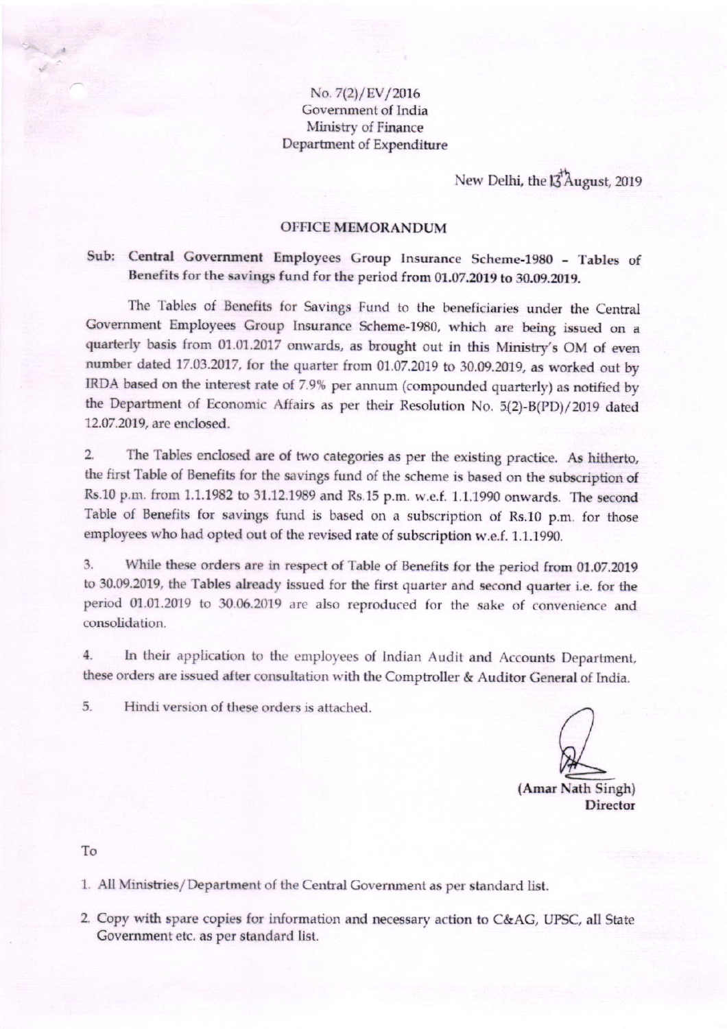### No. 7(2)/EV/2016 Government of India Ministry of Finance Department of Expenditure

New Delhi, the 13<sup>7</sup> August, 2019

#### **OFFICE MEMORANDUM**

## Sub: Central Government Employees Group Insurance Scheme-1980 - Tables of Benefits for the savings fund for the period from 01.07.2019 to 30.09.2019.

The Tables of Benefits for Savings Fund to the beneficiaries under the Central Government Employees Group Insurance Scheme-1980, which are being issued on a quarterly basis from 01.01.2017 onwards, as brought out in this Ministry's OM of even number dated 17.03.2017, for the quarter from 01.07.2019 to 30.09.2019, as worked out by IRDA based on the interest rate of 7.9% per annum (compounded quarterly) as notified by the Department of Economic Affairs as per their Resolution No. 5(2)-B(PD)/2019 dated 12.07.2019, are enclosed.

 $2.$ The Tables enclosed are of two categories as per the existing practice. As hitherto, the first Table of Benefits for the savings fund of the scheme is based on the subscription of Rs.10 p.m. from 1.1.1982 to 31.12.1989 and Rs.15 p.m. w.e.f. 1.1.1990 onwards. The second Table of Benefits for savings fund is based on a subscription of Rs.10 p.m. for those employees who had opted out of the revised rate of subscription w.e.f. 1.1.1990.

3. While these orders are in respect of Table of Benefits for the period from 01.07.2019 to 30.09.2019, the Tables already issued for the first quarter and second quarter i.e. for the period 01.01.2019 to 30.06.2019 are also reproduced for the sake of convenience and consolidation.

4. In their application to the employees of Indian Audit and Accounts Department, these orders are issued after consultation with the Comptroller & Auditor General of India.

5. Hindi version of these orders is attached.

(Amar Nath Singh) **Director** 

To

1. All Ministries/Department of the Central Government as per standard list.

2. Copy with spare copies for information and necessary action to C&AG, UPSC, all State Government etc. as per standard list.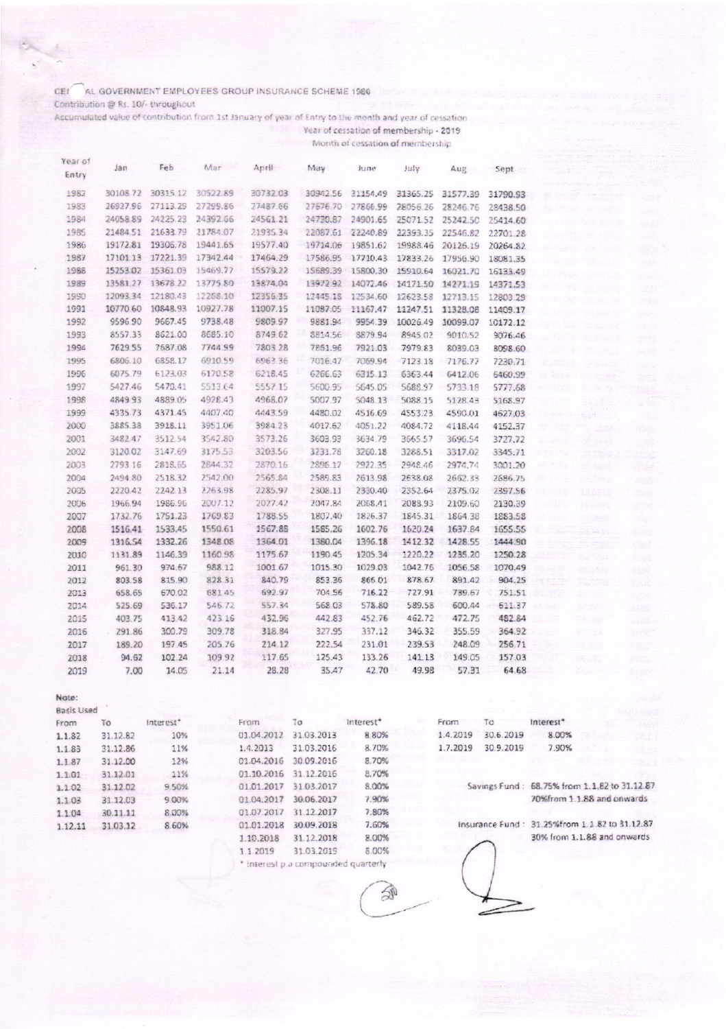#### CEI AL GOVERNMENT EMPLOYEES GROUP INSURANCE SCHEME 1980

Contribution @ Rs. 10/- throughout

Accumulated value of contribution from 1st January of year of Entry to the month and year of cessation Year of cessation of membership - 2019

Month of cessation of membership

| Year of<br>Entry | Jan      | Feb      | Mar      | April    | May      | June     | July     | Aug      | Sept     |
|------------------|----------|----------|----------|----------|----------|----------|----------|----------|----------|
|                  |          |          |          |          |          |          |          |          |          |
| 1982             | 30108.72 | 30315.12 | 30522.89 | 30732.03 | 30942.56 | 31154.49 | 31365.25 | 31577.39 | 31790.93 |
| 1983             | 26927.96 | 27113.29 | 27299.86 | 27487.66 | 27676.70 | 27866.99 | 28056.26 | 28246.76 | 28438.50 |
| 1984             | 24058.89 | 24225.23 | 24392.66 | 24561.21 | 24730.87 | 24901.65 | 25071.52 | 25242.50 | 25414.60 |
| 1985             | 21484.51 | 21633.79 | 21784.07 | 21935.34 | 22087.61 | 22240.89 | 22393.35 | 22546.82 | 22701.28 |
| 1986             | 19172.81 | 19306.78 | 19441.65 | 19577.40 | 19714.06 | 19851.62 | 19988.46 | 20126.19 | 20264.82 |
| 1987             | 17101.13 | 17221.39 | 17342.44 | 17464.29 | 17586.95 | 17710.43 | 17833.26 | 17956.90 | 18081.35 |
| 1988             | 15253.02 | 15361.03 | 15469.77 | 15579.22 | 15689.39 | 15800.30 | 15910.64 | 16021.70 | 16133.49 |
| 1989             | 13581.27 | 13678.22 | 13775.80 | 13874.04 | 13972.92 | 14072.46 | 14171.50 | 14271.19 | 14371.53 |
| 1990             | 12093.34 | 12180.43 | 12268.10 | 12356.35 | 12445 18 | 12534.60 | 12623.58 | 12713.15 | 12803.29 |
| 1991             | 10770.60 | 10848.93 | 10927.78 | 11007.15 | 11087.05 | 11167.47 | 11247.51 | 11328.08 | 11409.17 |
| 1992             | 9596.90  | 9667.45  | 9738.48  | 9809.97  | 9881.94  | 9954.39  | 10026.49 | 10099.07 | 10172.12 |
| 1993             | 8557.33  | 8621.00  | 8685.10  | 8749.62  | 8814.56  | 8879.94  | 8945.02  | 9010.52  | 9076.46  |
| 1994             | 7629.55  | 7687.08  | 7744.99  | 7803.28  | 7861.96  | 7921.03  | 7979.83  | 8039.03  | 8098.60  |
| 1995             | 6806.10  | 6858.17  | 6910.59  | 6963.36  | 7016.47  | 7069.94  | 7123.18  | 7176.77  | 7230.71  |
| 1996             | 6075.79  | 6123.63  | 6170.58  | 6218.45  | 6266.63  | 6315.13  | 6363.44  | 6412.06  | 6460.99  |
| 1997             | 5427.46  | 5470.41  | 5513.64  | 5557.15  | 5600.95  | 5645.05  | 5688.97  | 5733.18  | 5777.68  |
| 1998             | 4849.93  | 4889.05  | 4928.43  | 4968.07  | 5007.97  | 5048.13  | 5088.15  | 5128.43  | 5168.97  |
| 1999             | 4335.73  | 4371.45  | 4407.40  | 4443.59  | 4480.02  | 4516.69  | 4553.23  | 4590.01  | 4627.03  |
| 2000             | 3885.38  | 3918.11  | 3951.06  | 3984.23  | 4017.62  | 4051.22  | 4084.72  | 4118.44  | 4152.37  |
| 2001             | 3482.47  | 3512.54  | 3542.80  | 3573.26  | 3603.93  | 3634.79  | 3665.57  | 3696.54  | 3727.72  |
| 2002             | 3120.02  | 3147.69  | 3175.53  | 3203.56  | 3231.78  | 3260.18  | 3288.51  | 3317.02  | 3345.71  |
| 2003             | 2793.16  | 2818.65  | 2844.32  | 2870.16  | 2895.17  | 2922.35  | 2948.46  | 2974.74  | 3001.20  |
| 2004             | 2494.80  | 2518.32  | 2542.00  | 2565.84  | 2589.83  | 2613.98  | 2638.08  | 2662.33  | 2686.75  |
| 2005             | 2220.42  | 2242.13  | 2263.98  | 2285.97  | 2308.11  | 2330.40  | 2352.64  | 2375.02  | 7397.56  |
| 2006             | 1966.94  | 1986.96  | 2007.12  | 2027.42  | 2047.84  | 2058.41  | 2088.93  | 2109.60  | 2130.39  |
| 2007             | 1732.76  | 1751.23  | 1769.83  | 1788.55  | 1807.40  | 1826.37  | 1845.31  | 1864.38  | 1883.58  |
| 2008             | 1516.41  | 1533.45  | 1550.61  | 1567.88  | 1585.26  | 1602.76  | 1620.24  | 1637.84  | 1655.55  |
| 2009             | 1316.54  | 1332.26  | 1348.08  | 1364.01  | 1380.04  | 1396.18  | 1412.32  | 1428.55  | 1444.90  |
| 2010             | 1131.89  | 1146.39  | 1160.98  | 1175.67  | 1190.45  | 1205.34  | 1220.22  | 1235.20  | 1250.28  |
| 2011             | 961.30   | 974.67   | 988.12   | 1001.67  | 1015.30  | 1029.03  | 1042.76  | 1056.58  | 1070.49  |
| 2012             | 803.58   | 815.90   | 828.31   | 840.79   | 853.36   | 866.01   | 878.67   | 891.42   | 904.25   |
| 2013             | 658.65   | 670.02   | 681.45   | 692.97   | 704.56   | 716.22   | 727.91   | 739.67   | 751.51   |
| 2014             | 525.69   | 536.17   | 546.72   | 557.34   | 568 03   | 578.80   | 589.58   | 600.44   | 611.37   |
| 2015             | 403.75   | 413.42   | 423.16   | 432.96   | 442.83   | 452.76   | 462.72   | 472.75   | 482.84   |
| 2016             | 291.86   | 300.79   | 309.78   | 318.84   | 327.95   | 337.12   | 346.32   | 355.59   | 364.92   |
| 2017             | 189.20   | 197.45   | 205.76   | 214.12   | 222.54   | 231.01   | 239.53   | 248.09   | 256.71   |
| 2018             | 94.62    | 102.24   | 109.92   | 117.65   | 125.43   | 133.26   | 141.13   | 149.05   | 157.03   |
| 2019             | 7.00     | 14.05    | 21.14    | 28.28    | 35.47    | 42.70    | 49.98    | 57.31    | 64.68    |
| Note:            |          |          |          |          |          |          |          |          |          |
| Basis Used       |          |          |          |          |          |          |          |          |          |

| From    | ĩ٥       | Interest* | From       | īσ         | Interest* | From     | Тo        | Interest*                                     |  |
|---------|----------|-----------|------------|------------|-----------|----------|-----------|-----------------------------------------------|--|
| 1.1.82  | 31.12.82 | 10%       | 01.04.2012 | 31.03.2013 | 8.80%     | 1.4.2019 | 30.6.2019 | 8.00%                                         |  |
| 1.1.83  | 31.12.86 | 11%       | 1.4.2013   | 31.03.2016 | 8.70%     | 1.7.2019 | 30.9.2019 | 7.90%                                         |  |
| 1.187   | 31.12.00 | 12%       | 01.04.2016 | 30.09.2016 | 8.70%     |          |           |                                               |  |
| 1.1.01  | 31.12.01 | 11%       | 01.10.2016 | 31.12.2016 | 8.70%     |          |           |                                               |  |
| 1.1.02  | 31.12.02 | 9.50%     | 01.01.2017 | 31.03.2017 | 8.00%     |          |           | Savings Fund: 68.75% from 1.1.82 to 31.12.87  |  |
| 1.1.03  | 31.12.03 | 9.00%     | 01.04.2017 | 30.06.2017 | 7.90%     |          |           | 70%from 1.1.88 and onwards                    |  |
| 1.1.04  | 30.11.11 | 8.00%     | 01.07.2017 | 31.12.2017 | 7.80%     |          |           |                                               |  |
| 1.12.11 | 31.03.12 | 8.60%     | 01.01.2018 | 30.09.2018 | 7.60%     |          |           | Insurance Fund: 31.25%from 1.1.82 to 31.12.87 |  |
|         |          |           | 1.10.2018  | 31.12.2018 | 8.00%     |          |           | 30% from 1.1.88 and onwards                   |  |
|         |          |           | 1 1 2019   | 31.03.2019 | 8.00%     |          |           |                                               |  |

Ð

\* Interest p.a compounded quarterly